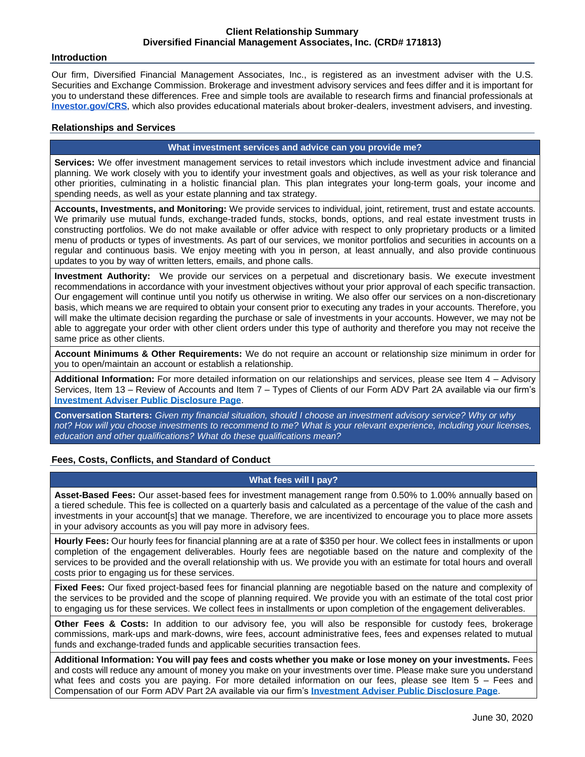## **Introduction**

Our firm, Diversified Financial Management Associates, Inc., is registered as an investment adviser with the U.S. Securities and Exchange Commission. Brokerage and investment advisory services and fees differ and it is important for you to understand these differences. Free and simple tools are available to research firms and financial professionals at **[Investor.gov/CRS](http://investor.gov/CRS)**, which also provides educational materials about broker-dealers, investment advisers, and investing.

# **Relationships and Services**

## **What investment services and advice can you provide me?**

**Services:** We offer investment management services to retail investors which include investment advice and financial planning. We work closely with you to identify your investment goals and objectives, as well as your risk tolerance and other priorities, culminating in a holistic financial plan. This plan integrates your long-term goals, your income and spending needs, as well as your estate planning and tax strategy.

**Accounts, Investments, and Monitoring:** We provide services to individual, joint, retirement, trust and estate accounts. We primarily use mutual funds, exchange-traded funds, stocks, bonds, options, and real estate investment trusts in constructing portfolios. We do not make available or offer advice with respect to only proprietary products or a limited menu of products or types of investments. As part of our services, we monitor portfolios and securities in accounts on a regular and continuous basis. We enjoy meeting with you in person, at least annually, and also provide continuous updates to you by way of written letters, emails, and phone calls.

**Investment Authority:** We provide our services on a perpetual and discretionary basis. We execute investment recommendations in accordance with your investment objectives without your prior approval of each specific transaction. Our engagement will continue until you notify us otherwise in writing. We also offer our services on a non-discretionary basis, which means we are required to obtain your consent prior to executing any trades in your accounts. Therefore, you will make the ultimate decision regarding the purchase or sale of investments in your accounts. However, we may not be able to aggregate your order with other client orders under this type of authority and therefore you may not receive the same price as other clients.

**Account Minimums & Other Requirements:** We do not require an account or relationship size minimum in order for you to open/maintain an account or establish a relationship.

**Additional Information:** For more detailed information on our relationships and services, please see Item 4 – Advisory Services, Item 13 – Review of Accounts and Item 7 – Types of Clients of our Form ADV Part 2A available via our firm's **[Investment Adviser Public Disclosure Page](https://adviserinfo.sec.gov/firm/summary/171813)**.

**Conversation Starters:** *Given my financial situation, should I choose an investment advisory service? Why or why not? How will you choose investments to recommend to me? What is your relevant experience, including your licenses, education and other qualifications? What do these qualifications mean?*

# **Fees, Costs, Conflicts, and Standard of Conduct**

# **What fees will I pay?**

**Asset-Based Fees:** Our asset-based fees for investment management range from 0.50% to 1.00% annually based on a tiered schedule. This fee is collected on a quarterly basis and calculated as a percentage of the value of the cash and investments in your account[s] that we manage. Therefore, we are incentivized to encourage you to place more assets in your advisory accounts as you will pay more in advisory fees.

**Hourly Fees:** Our hourly fees for financial planning are at a rate of \$350 per hour. We collect fees in installments or upon completion of the engagement deliverables. Hourly fees are negotiable based on the nature and complexity of the services to be provided and the overall relationship with us. We provide you with an estimate for total hours and overall costs prior to engaging us for these services.

**Fixed Fees:** Our fixed project-based fees for financial planning are negotiable based on the nature and complexity of the services to be provided and the scope of planning required. We provide you with an estimate of the total cost prior to engaging us for these services. We collect fees in installments or upon completion of the engagement deliverables.

**Other Fees & Costs:** In addition to our advisory fee, you will also be responsible for custody fees, brokerage commissions, mark-ups and mark-downs, wire fees, account administrative fees, fees and expenses related to mutual funds and exchange-traded funds and applicable securities transaction fees.

**Additional Information: You will pay fees and costs whether you make or lose money on your investments.** Fees and costs will reduce any amount of money you make on your investments over time. Please make sure you understand what fees and costs you are paying. For more detailed information on our fees, please see Item 5 – Fees and Compensation of our Form ADV Part 2A available via our firm's **[Investment Adviser Public Disclosure Page](https://adviserinfo.sec.gov/firm/summary/171813)**.